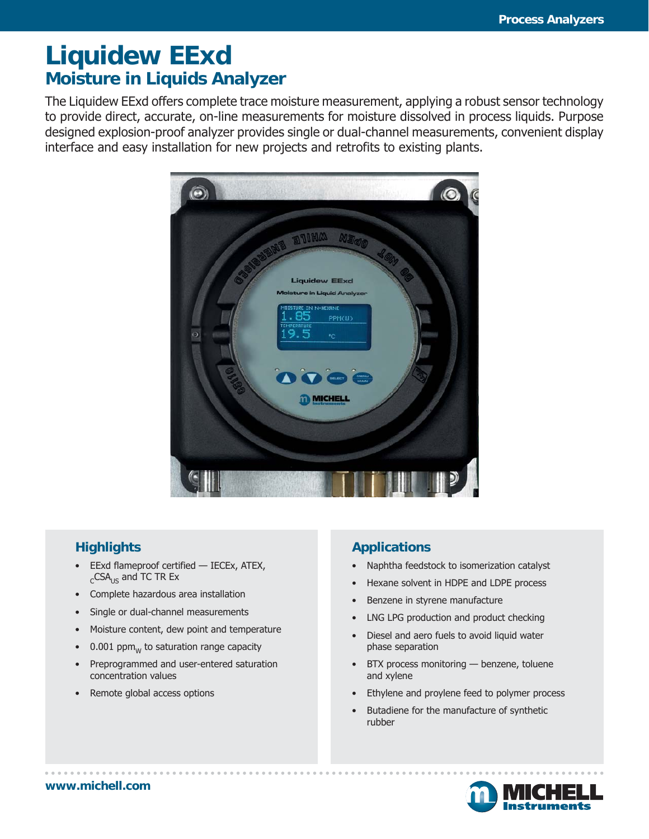# **Liquidew EExd Moisture in Liquids Analyzer**

The Liquidew EExd offers complete trace moisture measurement, applying a robust sensor technology to provide direct, accurate, on-line measurements for moisture dissolved in process liquids. Purpose designed explosion-proof analyzer provides single or dual-channel measurements, convenient display interface and easy installation for new projects and retrofits to existing plants.



### **Highlights**

- EExd flameproof certified IECEx, ATEX,  $_{c}$ CSA<sub>US</sub> and TC TR Ex
- Complete hazardous area installation
- Single or dual-channel measurements
- Moisture content, dew point and temperature
- $0.001$  ppm<sub>w</sub> to saturation range capacity
- Preprogrammed and user-entered saturation concentration values
- Remote global access options

### **Applications**

- Naphtha feedstock to isomerization catalyst
- Hexane solvent in HDPE and LDPE process
- Benzene in styrene manufacture
- LNG LPG production and product checking
- Diesel and aero fuels to avoid liquid water phase separation
- BTX process monitoring benzene, toluene and xylene
- Ethylene and proylene feed to polymer process
- Butadiene for the manufacture of synthetic rubber

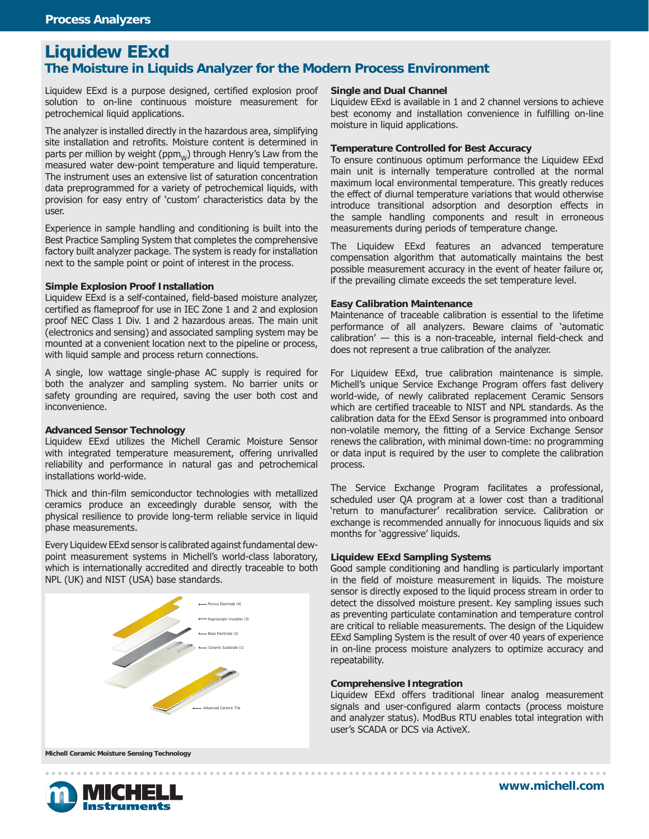### **Liquidew EExd The Moisture in Liquids Analyzer for the Modern Process Environment**

Liquidew EExd is a purpose designed, certified explosion proof solution to on-line continuous moisture measurement for petrochemical liquid applications.

The analyzer is installed directly in the hazardous area, simplifying site installation and retrofits. Moisture content is determined in parts per million by weight ( $ppm_w$ ) through Henry's Law from the measured water dew-point temperature and liquid temperature. The instrument uses an extensive list of saturation concentration data preprogrammed for a variety of petrochemical liquids, with provision for easy entry of 'custom' characteristics data by the user.

Experience in sample handling and conditioning is built into the Best Practice Sampling System that completes the comprehensive factory built analyzer package. The system is ready for installation next to the sample point or point of interest in the process.

#### **Simple Explosion Proof Installation**

Liquidew EExd is a self-contained, field-based moisture analyzer, certified as flameproof for use in IEC Zone 1 and 2 and explosion proof NEC Class 1 Div. 1 and 2 hazardous areas. The main unit (electronics and sensing) and associated sampling system may be mounted at a convenient location next to the pipeline or process, with liquid sample and process return connections.

A single, low wattage single-phase AC supply is required for both the analyzer and sampling system. No barrier units or safety grounding are required, saving the user both cost and inconvenience.

#### **Advanced Sensor Technology**

Liquidew EExd utilizes the Michell Ceramic Moisture Sensor with integrated temperature measurement, offering unrivalled reliability and performance in natural gas and petrochemical installations world-wide.

Thick and thin-film semiconductor technologies with metallized ceramics produce an exceedingly durable sensor, with the physical resilience to provide long-term reliable service in liquid phase measurements.

Every Liquidew EExd sensor is calibrated against fundamental dewpoint measurement systems in Michell's world-class laboratory, which is internationally accredited and directly traceable to both NPL (UK) and NIST (USA) base standards.



#### **Single and Dual Channel**

Liquidew EExd is available in 1 and 2 channel versions to achieve best economy and installation convenience in fulfilling on-line moisture in liquid applications.

#### **Temperature Controlled for Best Accuracy**

To ensure continuous optimum performance the Liquidew EExd main unit is internally temperature controlled at the normal maximum local environmental temperature. This greatly reduces the effect of diurnal temperature variations that would otherwise introduce transitional adsorption and desorption effects in the sample handling components and result in erroneous measurements during periods of temperature change.

The Liquidew EExd features an advanced temperature compensation algorithm that automatically maintains the best possible measurement accuracy in the event of heater failure or, if the prevailing climate exceeds the set temperature level.

#### **Easy Calibration Maintenance**

Maintenance of traceable calibration is essential to the lifetime performance of all analyzers. Beware claims of 'automatic calibration' — this is a non-traceable, internal field-check and does not represent a true calibration of the analyzer.

For Liquidew EExd, true calibration maintenance is simple. Michell's unique Service Exchange Program offers fast delivery world-wide, of newly calibrated replacement Ceramic Sensors which are certified traceable to NIST and NPL standards. As the calibration data for the EExd Sensor is programmed into onboard non-volatile memory, the fitting of a Service Exchange Sensor renews the calibration, with minimal down-time: no programming or data input is required by the user to complete the calibration process.

The Service Exchange Program facilitates a professional, scheduled user QA program at a lower cost than a traditional 'return to manufacturer' recalibration service. Calibration or exchange is recommended annually for innocuous liquids and six months for 'aggressive' liquids.

#### **Liquidew EExd Sampling Systems**

Good sample conditioning and handling is particularly important in the field of moisture measurement in liquids. The moisture sensor is directly exposed to the liquid process stream in order to detect the dissolved moisture present. Key sampling issues such as preventing particulate contamination and temperature control are critical to reliable measurements. The design of the Liquidew EExd Sampling System is the result of over 40 years of experience in on-line process moisture analyzers to optimize accuracy and repeatability.

#### **Comprehensive Integration**

Liquidew EExd offers traditional linear analog measurement signals and user-configured alarm contacts (process moisture and analyzer status). ModBus RTU enables total integration with user's SCADA or DCS via ActiveX.

**Michell Ceramic Moisture Sensing Technology**

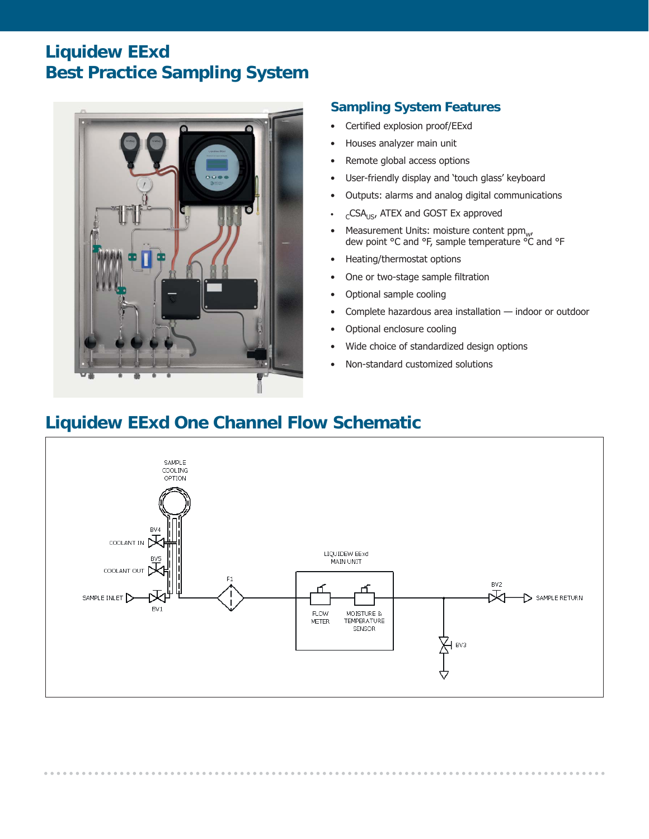## **Liquidew EExd Best Practice Sampling System**



### **Sampling System Features**

- Certified explosion proof/EExd
- Houses analyzer main unit
- Remote global access options
- User-friendly display and 'touch glass' keyboard
- Outputs: alarms and analog digital communications
- $_{c}$ CSA<sub>US</sub>, ATEX and GOST Ex approved
- Measurement Units: moisture content ppm<sub>w</sub>, Preasurement onts. molsture content ppm<sub>w</sub><br>dew point °C and °F, sample temperature °C and °F
- Heating/thermostat options
- One or two-stage sample filtration
- Optional sample cooling
- Complete hazardous area installation indoor or outdoor
- Optional enclosure cooling
- Wide choice of standardized design options
- Non-standard customized solutions

## **Liquidew EExd One Channel Flow Schematic**

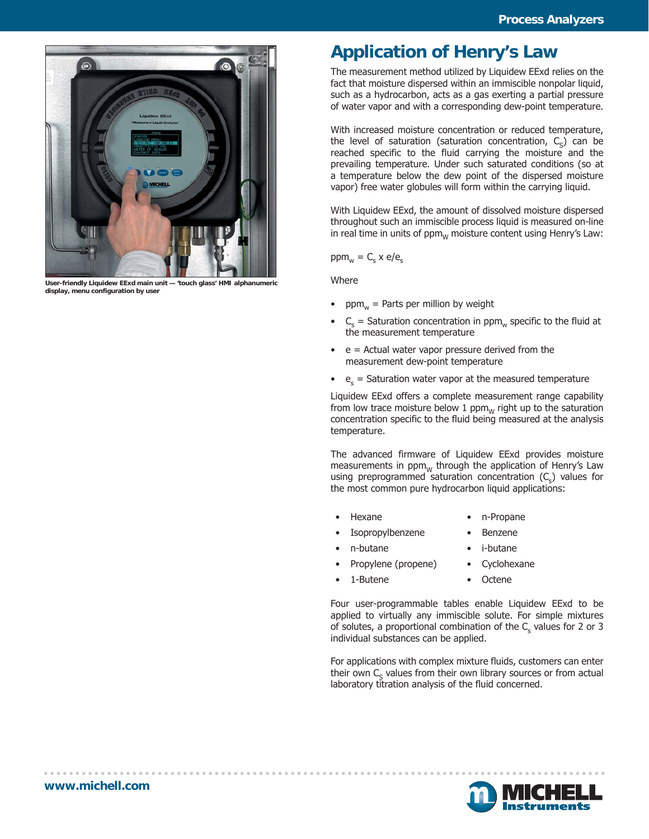

**User-friendly Liquidew EExd main unit — 'touch glass' HMI alphanumeric display, menu configuration by user**

## **Application of Henry's Law**

The measurement method utilized by Liquidew EExd relies on the fact that moisture dispersed within an immiscible nonpolar liquid, such as a hydrocarbon, acts as a gas exerting a partial pressure of water vapor and with a corresponding dew-point temperature.

With increased moisture concentration or reduced temperature, the level of saturation (saturation concentration,  $C_c$ ) can be reached specific to the fluid carrying the moisture and the prevailing temperature. Under such saturated conditions (so at a temperature below the dew point of the dispersed moisture vapor) free water globules will form within the carrying liquid.

With Liquidew EExd, the amount of dissolved moisture dispersed throughout such an immiscible process liquid is measured on-line in real time in units of  $ppm_w$  moisture content using Henry's Law:

 $ppm_{w} = C_{s}$  x e/e<sub>s</sub>

**Where** 

- ppm<sub>w</sub> = Parts per million by weight
- $C_s$  = Saturation concentration in ppm<sub>w</sub> specific to the fluid at the measurement temperature
- $\bullet$  e = Actual water vapor pressure derived from the measurement dew-point temperature
- $\bullet$  e<sub>s</sub> = Saturation water vapor at the measured temperature

Liquidew EExd offers a complete measurement range capability from low trace moisture below 1 ppm $_W$  right up to the saturation concentration specific to the fluid being measured at the analysis temperature.

The advanced firmware of Liquidew EExd provides moisture measurements in  $ppm_w$  through the application of Henry's Law using preprogrammed saturation concentration  $(C_s)$  values for the most common pure hydrocarbon liquid applications:

- Hexane n-Propane
- Isopropylbenzene Benzene
- n-butane i-butane
	-
- Propylene (propene) Cyclohexane
- 1-Butene Octene
	-

Four user-programmable tables enable Liquidew EExd to be applied to virtually any immiscible solute. For simple mixtures of solutes, a proportional combination of the  $\mathsf{C}_\mathsf{s}$  values for 2 or 3 individual substances can be applied.

For applications with complex mixture fluids, customers can enter their own  $C<sub>s</sub>$  values from their own library sources or from actual laboratory titration analysis of the fluid concerned.

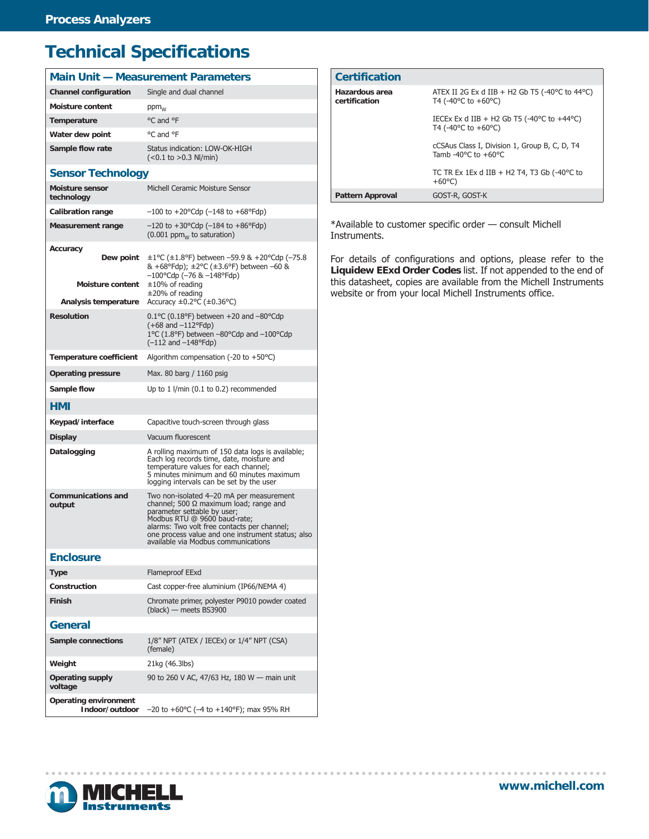## **Technical Specifications**

| <b>Main Unit - Measurement Parameters</b>                                |                                                                                                                                                                                                                                                                                                     |  |
|--------------------------------------------------------------------------|-----------------------------------------------------------------------------------------------------------------------------------------------------------------------------------------------------------------------------------------------------------------------------------------------------|--|
| <b>Channel configuration</b>                                             | Single and dual channel                                                                                                                                                                                                                                                                             |  |
| <b>Moisture content</b>                                                  | $ppm_{W}$                                                                                                                                                                                                                                                                                           |  |
| Temperature                                                              | °C and °F                                                                                                                                                                                                                                                                                           |  |
| Water dew point                                                          | °C and °F                                                                                                                                                                                                                                                                                           |  |
| Sample flow rate                                                         | Status indication: LOW-OK-HIGH<br>$(<0.1$ to $>0.3$ NI/min)                                                                                                                                                                                                                                         |  |
| <b>Sensor Technology</b>                                                 |                                                                                                                                                                                                                                                                                                     |  |
| <b>Moisture sensor</b><br>technology                                     | Michell Ceramic Moisture Sensor                                                                                                                                                                                                                                                                     |  |
| <b>Calibration range</b>                                                 | $-100$ to $+20^{\circ}$ Cdp ( $-148$ to $+68^{\circ}$ Fdp)                                                                                                                                                                                                                                          |  |
| <b>Measurement range</b>                                                 | $-120$ to $+30^{\circ}$ Cdp ( $-184$ to $+86^{\circ}$ Fdp)<br>$(0.001$ ppm <sub>w</sub> to saturation)                                                                                                                                                                                              |  |
| Accuracy<br>Dew point<br><b>Moisture content</b><br>Analysis temperature | $\pm 1$ °C ( $\pm 1.8$ °F) between -59.9 & +20°Cdp (-75.8<br>& +68°Fdp); ±2°C (±3.6°F) between -60 &<br>$-100^{\circ}$ Cdp (-76 & -148°Fdp)<br>$\pm 10\%$ of reading<br>$\pm$ 20% of reading<br>Accuracy $\pm 0.2$ °C ( $\pm 0.36$ °C)                                                              |  |
| <b>Resolution</b>                                                        | $0.1$ °C (0.18°F) between +20 and -80°Cdp                                                                                                                                                                                                                                                           |  |
|                                                                          | $(+68$ and $-112^{\circ}$ Fdp)<br>$1^{\circ}$ C (1.8°F) between -80°Cdp and -100°Cdp<br>$(-112$ and $-148$ °Fdp)                                                                                                                                                                                    |  |
| <b>Temperature coefficient</b>                                           | Algorithm compensation $(-20 \text{ to } +50^{\circ}\text{C})$                                                                                                                                                                                                                                      |  |
| <b>Operating pressure</b>                                                | Max. 80 barg / 1160 psig                                                                                                                                                                                                                                                                            |  |
| <b>Sample flow</b>                                                       | Up to $1$ I/min (0.1 to 0.2) recommended                                                                                                                                                                                                                                                            |  |
| HMI                                                                      |                                                                                                                                                                                                                                                                                                     |  |
| Keypad/interface                                                         | Capacitive touch-screen through glass                                                                                                                                                                                                                                                               |  |
| <b>Display</b>                                                           | Vacuum fluorescent                                                                                                                                                                                                                                                                                  |  |
| Datalogging                                                              | A rolling maximum of 150 data logs is available;<br>Each log records time, date, moisture and<br>temperature values for each channel;<br>5 minutes minimum and 60 minutes maximum<br>logging intervals can be set by the user                                                                       |  |
| <b>Communications and</b><br>output                                      | Two non-isolated 4-20 mA per measurement<br>channel; 500 $\Omega$ maximum load; range and<br>parameter settable by user;<br>Modbus RTU @ 9600 baud-rate;<br>alarms: Two volt free contacts per channel;<br>one process value and one instrument status; also<br>available via Modbus communications |  |
| <b>Enclosure</b>                                                         |                                                                                                                                                                                                                                                                                                     |  |
| <b>Type</b>                                                              | Flameproof EExd                                                                                                                                                                                                                                                                                     |  |
| Construction                                                             | Cast copper-free aluminium (IP66/NEMA 4)                                                                                                                                                                                                                                                            |  |
| <b>Finish</b>                                                            | Chromate primer, polyester P9010 powder coated<br>(black) - meets BS3900                                                                                                                                                                                                                            |  |
| General                                                                  |                                                                                                                                                                                                                                                                                                     |  |
| Sample connections                                                       | 1/8" NPT (ATEX / IECEx) or 1/4" NPT (CSA)<br>(female)                                                                                                                                                                                                                                               |  |
| Weight                                                                   | 21kg (46.3lbs)                                                                                                                                                                                                                                                                                      |  |
| <b>Operating supply</b><br>voltage                                       | 90 to 260 V AC, 47/63 Hz, 180 W - main unit                                                                                                                                                                                                                                                         |  |
| <b>Operating environment</b><br>Indoor/outdoor                           | $-20$ to $+60^{\circ}$ C ( $-4$ to $+140^{\circ}$ F); max 95% RH                                                                                                                                                                                                                                    |  |

| <b>Certification</b>            |                                                                                                                 |
|---------------------------------|-----------------------------------------------------------------------------------------------------------------|
| Hazardous area<br>certification | ATEX II 2G Ex d IIB + H2 Gb T5 (-40 $\degree$ C to 44 $\degree$ C)<br>T4 (-40 $^{\circ}$ C to +60 $^{\circ}$ C) |
|                                 | IECEX Ex d IIB + H2 Gb T5 (-40 $\degree$ C to +44 $\degree$ C)<br>T4 $(-40^{\circ}$ C to $+60^{\circ}$ C)       |
|                                 | cCSAus Class I, Division 1, Group B, C, D, T4<br>Tamb -40 $^{\circ}$ C to +60 $^{\circ}$ C                      |
|                                 | TC TR Ex 1Ex d IIB + H2 T4, T3 Gb $(-40^{\circ}$ C to<br>$+60^{\circ}$ C)                                       |
| <b>Pattern Approval</b>         | GOST-R, GOST-K                                                                                                  |

\*Available to customer specific order — consult Michell Instruments.

For details of configurations and options, please refer to the **Liquidew EExd Order Codes** list. If not appended to the end of this datasheet, copies are available from the Michell Instruments website or from your local Michell Instruments office.